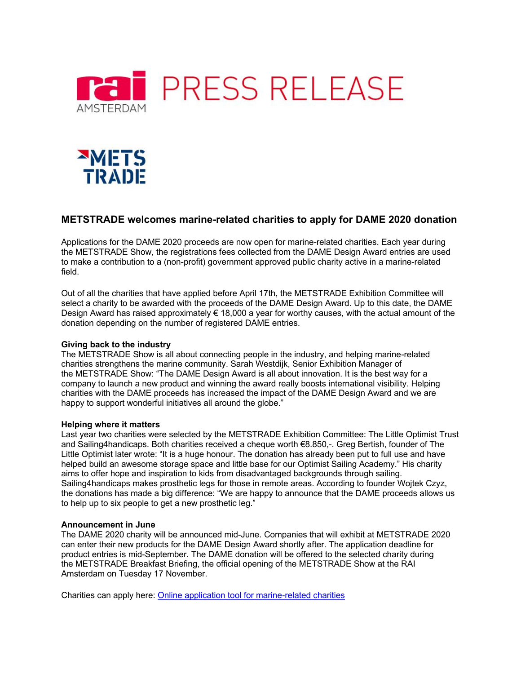



# **METSTRADE welcomes marine-related charities to apply for DAME 2020 donation**

Applications for the DAME 2020 proceeds are now open for marine-related charities. Each year during the METSTRADE Show, the registrations fees collected from the DAME Design Award entries are used to make a contribution to a (non-profit) government approved public charity active in a marine-related field.

Out of all the charities that have applied before April 17th, the METSTRADE Exhibition Committee will select a charity to be awarded with the proceeds of the DAME Design Award. Up to this date, the DAME Design Award has raised approximately  $\epsilon$  18,000 a year for worthy causes, with the actual amount of the donation depending on the number of registered DAME entries.

## **Giving back to the industry**

The METSTRADE Show is all about connecting people in the industry, and helping marine-related charities strengthens the marine community. Sarah Westdijk, Senior Exhibition Manager of the METSTRADE Show: "The DAME Design Award is all about innovation. It is the best way for a company to launch a new product and winning the award really boosts international visibility. Helping charities with the DAME proceeds has increased the impact of the DAME Design Award and we are happy to support wonderful initiatives all around the globe."

## **Helping where it matters**

Last year two charities were selected by the METSTRADE Exhibition Committee: The Little Optimist Trust and Sailing4handicaps. Both charities received a cheque worth €8.850,-. Greg Bertish, founder of The Little Optimist later wrote: "It is a huge honour. The donation has already been put to full use and have helped build an awesome storage space and little base for our Optimist Sailing Academy." His charity aims to offer hope and inspiration to kids from disadvantaged backgrounds through sailing. Sailing4handicaps makes prosthetic legs for those in remote areas. According to founder Wojtek Czyz, the donations has made a big difference: "We are happy to announce that the DAME proceeds allows us to help up to six people to get a new prosthetic leg."

## **Announcement in June**

The DAME 2020 charity will be announced mid-June. Companies that will exhibit at METSTRADE 2020 can enter their new products for the DAME Design Award shortly after. The application deadline for product entries is mid-September. The DAME donation will be offered to the selected charity during the METSTRADE Breakfast Briefing, the official opening of the METSTRADE Show at the RAI Amsterdam on Tuesday 17 November.

Charities can apply here: Online application tool for marine-related charities